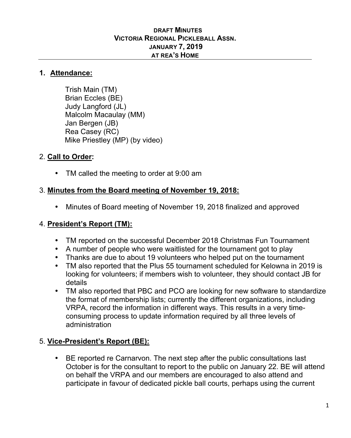#### **DRAFT MINUTES VICTORIA REGIONAL PICKLEBALL ASSN. JANUARY 7, 2019 AT REA'S HOME**

#### **1. Attendance:**

Trish Main (TM) Brian Eccles (BE) Judy Langford (JL) Malcolm Macaulay (MM) Jan Bergen (JB) Rea Casey (RC) Mike Priestley (MP) (by video)

### 2. **Call to Order:**

• TM called the meeting to order at 9:00 am

### 3. **Minutes from the Board meeting of November 19, 2018:**

• Minutes of Board meeting of November 19, 2018 finalized and approved

### 4. **President's Report (TM):**

- TM reported on the successful December 2018 Christmas Fun Tournament
- A number of people who were waitlisted for the tournament got to play
- Thanks are due to about 19 volunteers who helped put on the tournament
- TM also reported that the Plus 55 tournament scheduled for Kelowna in 2019 is looking for volunteers; if members wish to volunteer, they should contact JB for details
- TM also reported that PBC and PCO are looking for new software to standardize the format of membership lists; currently the different organizations, including VRPA, record the information in different ways. This results in a very timeconsuming process to update information required by all three levels of administration

# 5. **Vice-President's Report (BE):**

• BE reported re Carnarvon. The next step after the public consultations last October is for the consultant to report to the public on January 22. BE will attend on behalf the VRPA and our members are encouraged to also attend and participate in favour of dedicated pickle ball courts, perhaps using the current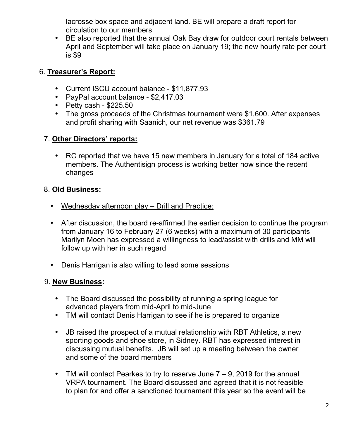lacrosse box space and adjacent land. BE will prepare a draft report for circulation to our members

• BE also reported that the annual Oak Bay draw for outdoor court rentals between April and September will take place on January 19; the new hourly rate per court is \$9

#### 6. **Treasurer's Report:**

- Current ISCU account balance \$11,877.93
- PayPal account balance \$2,417.03
- Petty cash  $$225.50$
- The gross proceeds of the Christmas tournament were \$1,600. After expenses and profit sharing with Saanich, our net revenue was \$361.79

# 7. **Other Directors' reports:**

• RC reported that we have 15 new members in January for a total of 184 active members. The Authentisign process is working better now since the recent changes

# 8. **Old Business:**

- Wednesday afternoon play Drill and Practice:
- After discussion, the board re-affirmed the earlier decision to continue the program from January 16 to February 27 (6 weeks) with a maximum of 30 participants Marilyn Moen has expressed a willingness to lead/assist with drills and MM will follow up with her in such regard
- Denis Harrigan is also willing to lead some sessions

# 9. **New Business:**

- The Board discussed the possibility of running a spring league for advanced players from mid-April to mid-June
- TM will contact Denis Harrigan to see if he is prepared to organize
- JB raised the prospect of a mutual relationship with RBT Athletics, a new sporting goods and shoe store, in Sidney. RBT has expressed interest in discussing mutual benefits. JB will set up a meeting between the owner and some of the board members
- TM will contact Pearkes to try to reserve June  $7 9$ , 2019 for the annual VRPA tournament. The Board discussed and agreed that it is not feasible to plan for and offer a sanctioned tournament this year so the event will be